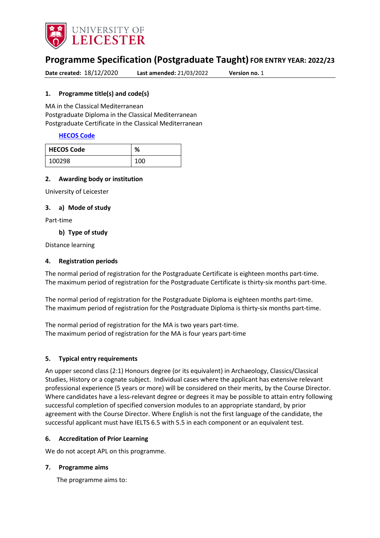

# **Programme Specification (Postgraduate Taught) FOR ENTRY YEAR: 2022/23**

**Date created:** 18/12/2020 **Last amended:** 21/03/2022 **Version no.** 1

### <span id="page-0-0"></span>**1. Programme title(s) and code(s)**

MA in the Classical Mediterranean Postgraduate Diploma in the Classical Mediterranean Postgraduate Certificate in the Classical Mediterranean

### **[HECOS Code](https://www.hesa.ac.uk/innovation/hecos)**

| <b>HECOS Code</b> | $\mathbf{O}$<br>70 |
|-------------------|--------------------|
| 100298            | 100                |

#### **2. Awarding body or institution**

University of Leicester

#### **3. a) Mode of study**

Part-time

#### **b) Type of study**

Distance learning

### **4. Registration periods**

The normal period of registration for the Postgraduate Certificate is eighteen months part-time. The maximum period of registration for the Postgraduate Certificate is thirty-six months part-time.

The normal period of registration for the Postgraduate Diploma is eighteen months part-time. The maximum period of registration for the Postgraduate Diploma is thirty-six months part-time.

The normal period of registration for the MA is two years part-time. The maximum period of registration for the MA is four years part-time

#### **5. Typical entry requirements**

An upper second class (2:1) Honours degree (or its equivalent) in Archaeology, Classics/Classical Studies, History or a cognate subject. Individual cases where the applicant has extensive relevant professional experience (5 years or more) will be considered on their merits, by the Course Director. Where candidates have a less-relevant degree or degrees it may be possible to attain entry following successful completion of specified conversion modules to an appropriate standard, by prior agreement with the Course Director. Where English is not the first language of the candidate, the successful applicant must have IELTS 6.5 with 5.5 in each component or an equivalent test.

#### **6. Accreditation of Prior Learning**

We do not accept APL on this programme.

#### **7. Programme aims**

The programme aims to: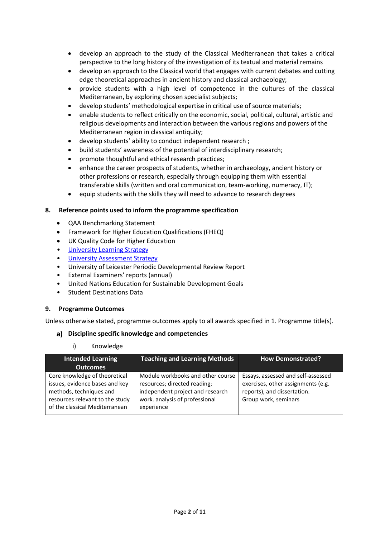- develop an approach to the study of the Classical Mediterranean that takes a critical perspective to the long history of the investigation of its textual and material remains
- develop an approach to the Classical world that engages with current debates and cutting edge theoretical approaches in ancient history and classical archaeology;
- provide students with a high level of competence in the cultures of the classical Mediterranean, by exploring chosen specialist subjects;
- develop students' methodological expertise in critical use of source materials;
- enable students to reflect critically on the economic, social, political, cultural, artistic and religious developments and interaction between the various regions and powers of the Mediterranean region in classical antiquity;
- develop students' ability to conduct independent research ;
- build students' awareness of the potential of interdisciplinary research;
- promote thoughtful and ethical research practices;
- enhance the career prospects of students, whether in archaeology, ancient history or other professions or research, especially through equipping them with essential transferable skills (written and oral communication, team-working, numeracy, IT);
- equip students with the skills they will need to advance to research degrees

#### **8. Reference points used to inform the programme specification**

- QAA Benchmarking Statement
- Framework for Higher Education Qualifications (FHEQ)
- UK Quality Code for Higher Education
- [University Learning](https://www2.le.ac.uk/offices/sas2/quality/learnteach) Strategy
- [University Assessment Strategy](https://www2.le.ac.uk/offices/sas2/quality/learnteach)
- University of Leicester Periodic Developmental Review Report
- External Examiners' reports (annual)
- United Nations Education for Sustainable Development Goals
- Student Destinations Data

#### **9. Programme Outcomes**

Unless otherwise stated, programme outcomes apply to all awards specified in [1.](#page-0-0) Programme title(s).

#### **Discipline specific knowledge and competencies**

i) Knowledge

| <b>Intended Learning</b><br><b>Outcomes</b>                                                                                                                     | <b>Teaching and Learning Methods</b>                                                                                                                  | <b>How Demonstrated?</b>                                                                                                        |
|-----------------------------------------------------------------------------------------------------------------------------------------------------------------|-------------------------------------------------------------------------------------------------------------------------------------------------------|---------------------------------------------------------------------------------------------------------------------------------|
| Core knowledge of theoretical<br>issues, evidence bases and key<br>methods, techniques and<br>resources relevant to the study<br>of the classical Mediterranean | Module workbooks and other course<br>resources; directed reading;<br>independent project and research<br>work. analysis of professional<br>experience | Essays, assessed and self-assessed<br>exercises, other assignments (e.g.<br>reports), and dissertation.<br>Group work, seminars |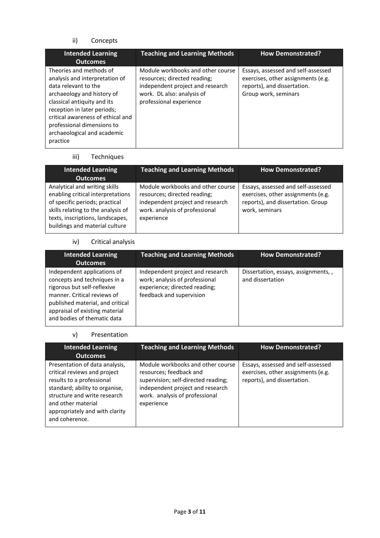# ii) Concepts

| <b>Intended Learning</b><br><b>Outcomes</b>                                                                                                                                                                                                                                                 | <b>Teaching and Learning Methods</b>                                                                                                                           | <b>How Demonstrated?</b>                                                                                                        |
|---------------------------------------------------------------------------------------------------------------------------------------------------------------------------------------------------------------------------------------------------------------------------------------------|----------------------------------------------------------------------------------------------------------------------------------------------------------------|---------------------------------------------------------------------------------------------------------------------------------|
| Theories and methods of<br>analysis and interpretation of<br>data relevant to the<br>archaeology and history of<br>classical antiquity and its<br>reception in later periods;<br>critical awareness of ethical and<br>professional dimensions to<br>archaeological and academic<br>practice | Module workbooks and other course<br>resources; directed reading;<br>independent project and research<br>work. DL also: analysis of<br>professional experience | Essays, assessed and self-assessed<br>exercises, other assignments (e.g.<br>reports), and dissertation.<br>Group work, seminars |

#### iii) Techniques

| <b>Intended Learning</b><br><b>Outcomes</b>                                                                                                                                                                      | <b>Teaching and Learning Methods</b>                                                                                                                  | <b>How Demonstrated?</b>                                                                                                        |
|------------------------------------------------------------------------------------------------------------------------------------------------------------------------------------------------------------------|-------------------------------------------------------------------------------------------------------------------------------------------------------|---------------------------------------------------------------------------------------------------------------------------------|
| Analytical and writing skills<br>enabling critical interpretations<br>of specific periods; practical<br>skills relating to the analysis of<br>texts, inscriptions, landscapes,<br>buildings and material culture | Module workbooks and other course<br>resources; directed reading;<br>independent project and research<br>work. analysis of professional<br>experience | Essays, assessed and self-assessed<br>exercises, other assignments (e.g.<br>reports), and dissertation. Group<br>work, seminars |

# iv) Critical analysis

| <b>Intended Learning</b><br><b>Outcomes</b>                                                                                                                                                                                    | <b>Teaching and Learning Methods</b>                                                                                            | <b>How Demonstrated?</b>                                 |
|--------------------------------------------------------------------------------------------------------------------------------------------------------------------------------------------------------------------------------|---------------------------------------------------------------------------------------------------------------------------------|----------------------------------------------------------|
| Independent applications of<br>concepts and techniques in a<br>rigorous but self-reflexive<br>manner. Critical reviews of<br>published material, and critical<br>appraisal of existing material<br>and bodies of thematic data | Independent project and research<br>work; analysis of professional<br>experience; directed reading;<br>feedback and supervision | Dissertation, essays, assignments, ,<br>and dissertation |

## v) Presentation

| <b>Intended Learning</b><br><b>Outcomes</b>                                                                                                                                                                                             | <b>Teaching and Learning Methods</b>                                                                                                                                                    | <b>How Demonstrated?</b>                                                                                |
|-----------------------------------------------------------------------------------------------------------------------------------------------------------------------------------------------------------------------------------------|-----------------------------------------------------------------------------------------------------------------------------------------------------------------------------------------|---------------------------------------------------------------------------------------------------------|
| Presentation of data analysis,<br>critical reviews and project<br>results to a professional<br>standard; ability to organise,<br>structure and write research<br>and other material<br>appropriately and with clarity<br>and coherence. | Module workbooks and other course<br>resources; feedback and<br>supervision; self-directed reading;<br>independent project and research<br>work. analysis of professional<br>experience | Essays, assessed and self-assessed<br>exercises, other assignments (e.g.<br>reports), and dissertation. |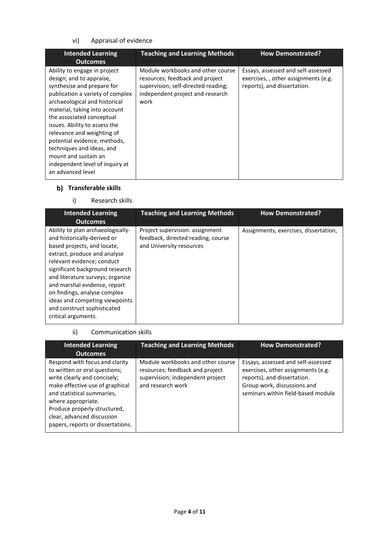# vi) Appraisal of evidence

| <b>Intended Learning</b><br><b>Outcomes</b>                                                                                                                                                                                                                                                                                                                                                                                           | <b>Teaching and Learning Methods</b>                                                                                                                    | <b>How Demonstrated?</b>                                                                                 |
|---------------------------------------------------------------------------------------------------------------------------------------------------------------------------------------------------------------------------------------------------------------------------------------------------------------------------------------------------------------------------------------------------------------------------------------|---------------------------------------------------------------------------------------------------------------------------------------------------------|----------------------------------------------------------------------------------------------------------|
| Ability to engage in project<br>design; and to appraise,<br>synthesise and prepare for<br>publication a variety of complex<br>archaeological and historical<br>material, taking into account<br>the associated conceptual<br>issues. Ability to assess the<br>relevance and weighting of<br>potential evidence, methods,<br>techniques and ideas, and<br>mount and sustain an<br>independent level of inquiry at<br>an advanced level | Module workbooks and other course<br>resources; feedback and project<br>supervision; self-directed reading;<br>independent project and research<br>work | Essays, assessed and self-assessed<br>exercises,, other assignments (e.g.<br>reports), and dissertation. |

# **Transferable skills**

# i) Research skills

| <b>Intended Learning</b><br><b>Outcomes</b>                                                                                                                                                                                                                                                                                                                                                  | <b>Teaching and Learning Methods</b>                                                              | <b>How Demonstrated?</b>              |
|----------------------------------------------------------------------------------------------------------------------------------------------------------------------------------------------------------------------------------------------------------------------------------------------------------------------------------------------------------------------------------------------|---------------------------------------------------------------------------------------------------|---------------------------------------|
| Ability to plan archaeologically-<br>and historically-derived or<br>based projects, and locate,<br>extract, produce and analyse<br>relevant evidence; conduct<br>significant background research<br>and literature surveys; organise<br>and marshal evidence, report<br>on findings, analyse complex<br>ideas and competing viewpoints<br>and construct sophisticated<br>critical arguments. | Project supervision. assignment<br>feedback, directed reading, course<br>and University resources | Assignments, exercises, dissertation, |

# ii) Communication skills

| <b>Intended Learning</b><br><b>Outcomes</b>                                                                                                                                                                                                                                               | <b>Teaching and Learning Methods</b>                                                                                          | <b>How Demonstrated?</b>                                                                                                                                                     |
|-------------------------------------------------------------------------------------------------------------------------------------------------------------------------------------------------------------------------------------------------------------------------------------------|-------------------------------------------------------------------------------------------------------------------------------|------------------------------------------------------------------------------------------------------------------------------------------------------------------------------|
| Respond with focus and clarity<br>to written or oral questions;<br>write clearly and concisely;<br>make effective use of graphical<br>and statistical summaries,<br>where appropriate.<br>Produce properly structured,<br>clear, advanced discussion<br>papers, reports or dissertations. | Module workbooks and other course<br>resources; feedback and project<br>supervision; independent project<br>and research work | Essays, assessed and self-assessed<br>exercises, other assignments (e.g.<br>reports), and dissertation.<br>Group work, discussions and<br>seminars within field-based module |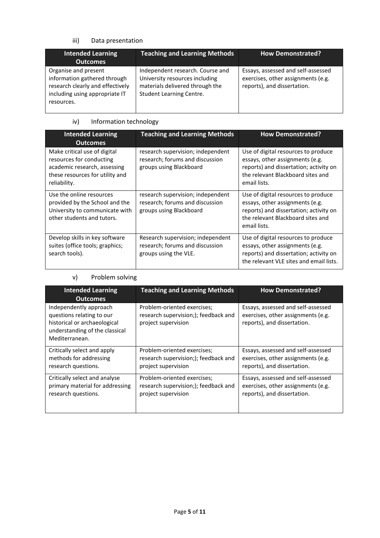# iii) Data presentation

| <b>Intended Learning</b><br><b>Outcomes</b>                                                                                              | <b>Teaching and Learning Methods</b>                                                                                              | <b>How Demonstrated?</b>                                                                                |
|------------------------------------------------------------------------------------------------------------------------------------------|-----------------------------------------------------------------------------------------------------------------------------------|---------------------------------------------------------------------------------------------------------|
| Organise and present<br>information gathered through<br>research clearly and effectively<br>including using appropriate IT<br>resources. | Independent research. Course and<br>University resources including<br>materials delivered through the<br>Student Learning Centre. | Essays, assessed and self-assessed<br>exercises, other assignments (e.g.<br>reports), and dissertation. |

# iv) Information technology

| <b>Intended Learning</b><br><b>Outcomes</b>                                                                                                 | <b>Teaching and Learning Methods</b>                                                            | <b>How Demonstrated?</b>                                                                                                                                              |
|---------------------------------------------------------------------------------------------------------------------------------------------|-------------------------------------------------------------------------------------------------|-----------------------------------------------------------------------------------------------------------------------------------------------------------------------|
| Make critical use of digital<br>resources for conducting<br>academic research, assessing<br>these resources for utility and<br>reliability. | research supervision; independent<br>research; forums and discussion<br>groups using Blackboard | Use of digital resources to produce<br>essays, other assignments (e.g.<br>reports) and dissertation; activity on<br>the relevant Blackboard sites and<br>email lists. |
| Use the online resources<br>provided by the School and the<br>University to communicate with<br>other students and tutors.                  | research supervision; independent<br>research; forums and discussion<br>groups using Blackboard | Use of digital resources to produce<br>essays, other assignments (e.g.<br>reports) and dissertation; activity on<br>the relevant Blackboard sites and<br>email lists. |
| Develop skills in key software<br>suites (office tools; graphics;<br>search tools).                                                         | Research supervision; independent<br>research; forums and discussion<br>groups using the VLE.   | Use of digital resources to produce<br>essays, other assignments (e.g.<br>reports) and dissertation; activity on<br>the relevant VLE sites and email lists.           |

# v) Problem solving

| <b>Intended Learning</b><br><b>Outcomes</b>                                                                                             | <b>Teaching and Learning Methods</b>                                                       | <b>How Demonstrated?</b>                                                                                |
|-----------------------------------------------------------------------------------------------------------------------------------------|--------------------------------------------------------------------------------------------|---------------------------------------------------------------------------------------------------------|
| Independently approach<br>questions relating to our<br>historical or archaeological<br>understanding of the classical<br>Mediterranean. | Problem-oriented exercises;<br>research supervision;); feedback and<br>project supervision | Essays, assessed and self-assessed<br>exercises, other assignments (e.g.<br>reports), and dissertation. |
| Critically select and apply                                                                                                             | Problem-oriented exercises;                                                                | Essays, assessed and self-assessed                                                                      |
| methods for addressing                                                                                                                  | research supervision;); feedback and                                                       | exercises, other assignments (e.g.                                                                      |
| research questions.                                                                                                                     | project supervision                                                                        | reports), and dissertation.                                                                             |
| Critically select and analyse                                                                                                           | Problem-oriented exercises;                                                                | Essays, assessed and self-assessed                                                                      |
| primary material for addressing                                                                                                         | research supervision;); feedback and                                                       | exercises, other assignments (e.g.                                                                      |
| research questions.                                                                                                                     | project supervision                                                                        | reports), and dissertation.                                                                             |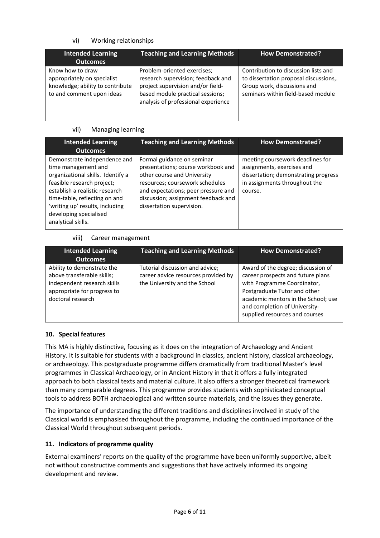# vi) Working relationships

| <b>Intended Learning</b><br><b>Outcomes</b>                                                                      | <b>Teaching and Learning Methods</b>                                                                                                                                              | <b>How Demonstrated?</b>                                                                                                                            |
|------------------------------------------------------------------------------------------------------------------|-----------------------------------------------------------------------------------------------------------------------------------------------------------------------------------|-----------------------------------------------------------------------------------------------------------------------------------------------------|
| Know how to draw<br>appropriately on specialist<br>knowledge; ability to contribute<br>to and comment upon ideas | Problem-oriented exercises;<br>research supervision; feedback and<br>project supervision and/or field-<br>based module practical sessions;<br>analysis of professional experience | Contribution to discussion lists and<br>to dissertation proposal discussions,.<br>Group work, discussions and<br>seminars within field-based module |

### vii) Managing learning

| <b>Intended Learning</b><br><b>Outcomes</b>                                                                                                                                                                                                                                  | <b>Teaching and Learning Methods</b>                                                                                                                                                                                                          | <b>How Demonstrated?</b>                                                                                                                           |
|------------------------------------------------------------------------------------------------------------------------------------------------------------------------------------------------------------------------------------------------------------------------------|-----------------------------------------------------------------------------------------------------------------------------------------------------------------------------------------------------------------------------------------------|----------------------------------------------------------------------------------------------------------------------------------------------------|
| Demonstrate independence and<br>time management and<br>organizational skills. Identify a<br>feasible research project;<br>establish a realistic research<br>time-table, reflecting on and<br>'writing up' results, including<br>developing specialised<br>analytical skills. | Formal guidance on seminar<br>presentations; course workbook and<br>other course and University<br>resources; coursework schedules<br>and expectations; peer pressure and<br>discussion; assignment feedback and<br>dissertation supervision. | meeting coursework deadlines for<br>assignments, exercises and<br>dissertation; demonstrating progress<br>in assignments throughout the<br>course. |

### viii) Career management

| <b>Intended Learning</b><br><b>Outcomes</b>                                                                                                 | <b>Teaching and Learning Methods</b>                                                                    | <b>How Demonstrated?</b>                                                                                                                                                                                                                         |
|---------------------------------------------------------------------------------------------------------------------------------------------|---------------------------------------------------------------------------------------------------------|--------------------------------------------------------------------------------------------------------------------------------------------------------------------------------------------------------------------------------------------------|
| Ability to demonstrate the<br>above transferable skills;<br>independent research skills<br>appropriate for progress to<br>doctoral research | Tutorial discussion and advice;<br>career advice resources provided by<br>the University and the School | Award of the degree; discussion of<br>career prospects and future plans<br>with Programme Coordinator,<br>Postgraduate Tutor and other<br>academic mentors in the School; use<br>and completion of University-<br>supplied resources and courses |

# **10. Special features**

This MA is highly distinctive, focusing as it does on the integration of Archaeology and Ancient History. It is suitable for students with a background in classics, ancient history, classical archaeology, or archaeology. This postgraduate programme differs dramatically from traditional Master's level programmes in Classical Archaeology, or in Ancient History in that it offers a fully integrated approach to both classical texts and material culture. It also offers a stronger theoretical framework than many comparable degrees. This programme provides students with sophisticated conceptual tools to address BOTH archaeological and written source materials, and the issues they generate.

The importance of understanding the different traditions and disciplines involved in study of the Classical world is emphasised throughout the programme, including the continued importance of the Classical World throughout subsequent periods.

# **11. Indicators of programme quality**

External examiners' reports on the quality of the programme have been uniformly supportive, albeit not without constructive comments and suggestions that have actively informed its ongoing development and review.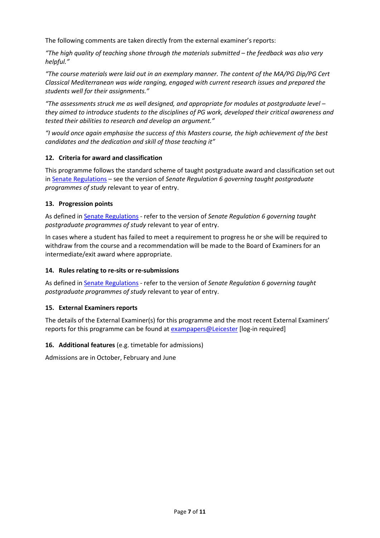The following comments are taken directly from the external examiner's reports:

*"The high quality of teaching shone through the materials submitted – the feedback was also very helpful."* 

*"The course materials were laid out in an exemplary manner. The content of the MA/PG Dip/PG Cert Classical Mediterranean was wide ranging, engaged with current research issues and prepared the students well for their assignments."*

*"The assessments struck me as well designed, and appropriate for modules at postgraduate level – they aimed to introduce students to the disciplines of PG work, developed their critical awareness and tested their abilities to research and develop an argument."*

*"I would once again emphasise the success of this Masters course, the high achievement of the best candidates and the dedication and skill of those teaching it"*

### **12. Criteria for award and classification**

This programme follows the standard scheme of taught postgraduate award and classification set out i[n Senate Regulations](http://www.le.ac.uk/senate-regulations) – see the version of *Senate Regulation 6 governing taught postgraduate programmes of study* relevant to year of entry.

### **13. Progression points**

As defined i[n Senate Regulations](http://www.le.ac.uk/senate-regulation6) - refer to the version of *Senate Regulation 6 governing taught postgraduate programmes of study* relevant to year of entry.

In cases where a student has failed to meet a requirement to progress he or she will be required to withdraw from the course and a recommendation will be made to the Board of Examiners for an intermediate/exit award where appropriate.

## **14. Rules relating to re-sits or re-submissions**

As defined i[n Senate Regulations](http://www.le.ac.uk/senate-regulation6) - refer to the version of *Senate Regulation 6 governing taught postgraduate programmes of study* relevant to year of entry.

# **15. External Examiners reports**

The details of the External Examiner(s) for this programme and the most recent External Examiners' reports for this programme can be found at [exampapers@Leicester](https://exampapers.le.ac.uk/) [log-in required]

#### **16. Additional features** (e.g. timetable for admissions)

Admissions are in October, February and June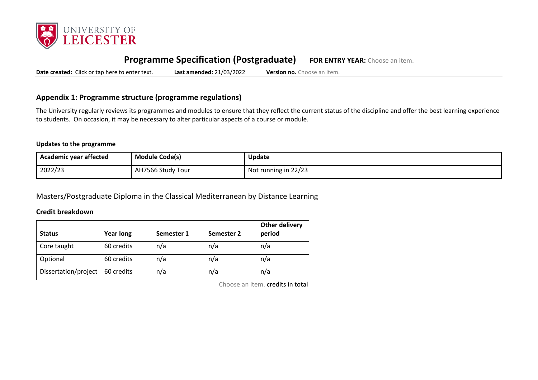

# **Programme Specification (Postgraduate) FOR ENTRY YEAR:** Choose an item.

**Date created:** Click or tap here to enter text. **Last amended:** 21/03/2022 **Version no.** Choose an item.

# **Appendix 1: Programme structure (programme regulations)**

The University regularly reviews its programmes and modules to ensure that they reflect the current status of the discipline and offer the best learning experience to students. On occasion, it may be necessary to alter particular aspects of a course or module.

#### **Updates to the programme**

| <b>Academic year affected</b> | <b>Module Code(s)</b> | Update               |
|-------------------------------|-----------------------|----------------------|
| 2022/23                       | AH7566 Study Tour     | Not running in 22/23 |

Masters/Postgraduate Diploma in the Classical Mediterranean by Distance Learning

#### **Credit breakdown**

| <b>Status</b>        | <b>Year long</b> | Semester 1 | Semester 2 | <b>Other delivery</b><br>period |
|----------------------|------------------|------------|------------|---------------------------------|
| Core taught          | 60 credits       | n/a        | n/a        | n/a                             |
| Optional             | 60 credits       | n/a        | n/a        | n/a                             |
| Dissertation/project | 60 credits       | n/a        | n/a        | n/a                             |

Choose an item. credits in total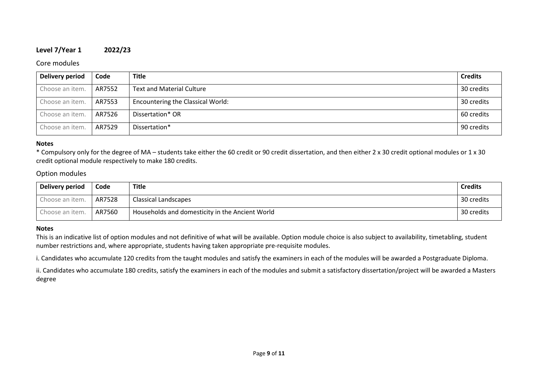## **Level 7/Year 1 2022/23**

### Core modules

| <b>Delivery period</b> | Code   | <b>Title</b>                             | <b>Credits</b> |
|------------------------|--------|------------------------------------------|----------------|
| Choose an item.        | AR7552 | <b>Text and Material Culture</b>         | 30 credits     |
| Choose an item.        | AR7553 | <b>Encountering the Classical World:</b> | 30 credits     |
| Choose an item.        | AR7526 | Dissertation* OR                         | 60 credits     |
| Choose an item.        | AR7529 | Dissertation*                            | 90 credits     |

#### **Notes**

\* Compulsory only for the degree of MA – students take either the 60 credit or 90 credit dissertation, and then either 2 x 30 credit optional modules or 1 x 30 credit optional module respectively to make 180 credits.

# Option modules

| <b>Delivery period</b> | Code   | <b>Title</b>                                    | <b>Credits</b> |
|------------------------|--------|-------------------------------------------------|----------------|
| Choose an item.        | AR7528 | Classical Landscapes                            | 30 credits     |
| Choose an item.        | AR7560 | Households and domesticity in the Ancient World | 30 credits     |

#### **Notes**

This is an indicative list of option modules and not definitive of what will be available. Option module choice is also subject to availability, timetabling, student number restrictions and, where appropriate, students having taken appropriate pre-requisite modules.

i. Candidates who accumulate 120 credits from the taught modules and satisfy the examiners in each of the modules will be awarded a Postgraduate Diploma.

ii. Candidates who accumulate 180 credits, satisfy the examiners in each of the modules and submit a satisfactory dissertation/project will be awarded a Masters degree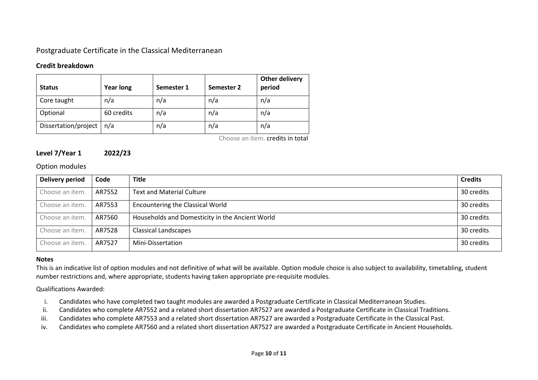# Postgraduate Certificate in the Classical Mediterranean

## **Credit breakdown**

| <b>Status</b>        | <b>Year long</b> | Semester 1 | Semester 2 | Other delivery<br>period |
|----------------------|------------------|------------|------------|--------------------------|
| Core taught          | n/a              | n/a        | n/a        | n/a                      |
| Optional             | 60 credits       | n/a        | n/a        | n/a                      |
| Dissertation/project | n/a              | n/a        | n/a        | n/a                      |

Choose an item. credits in total

# **Level 7/Year 1 2022/23**

### Option modules

| Delivery period | Code   | <b>Title</b>                                    | <b>Credits</b> |
|-----------------|--------|-------------------------------------------------|----------------|
| Choose an item. | AR7552 | <b>Text and Material Culture</b>                | 30 credits     |
| Choose an item. | AR7553 | <b>Encountering the Classical World</b>         | 30 credits     |
| Choose an item. | AR7560 | Households and Domesticity in the Ancient World | 30 credits     |
| Choose an item. | AR7528 | <b>Classical Landscapes</b>                     | 30 credits     |
| Choose an item. | AR7527 | Mini-Dissertation                               | 30 credits     |

#### **Notes**

This is an indicative list of option modules and not definitive of what will be available. Option module choice is also subject to availability, timetabling, student number restrictions and, where appropriate, students having taken appropriate pre-requisite modules.

Qualifications Awarded:

- i. Candidates who have completed two taught modules are awarded a Postgraduate Certificate in Classical Mediterranean Studies.
- ii. Candidates who complete AR7552 and a related short dissertation AR7527 are awarded a Postgraduate Certificate in Classical Traditions.
- iii. Candidates who complete AR7553 and a related short dissertation AR7527 are awarded a Postgraduate Certificate in the Classical Past.
- iv. Candidates who complete AR7560 and a related short dissertation AR7527 are awarded a Postgraduate Certificate in Ancient Households.